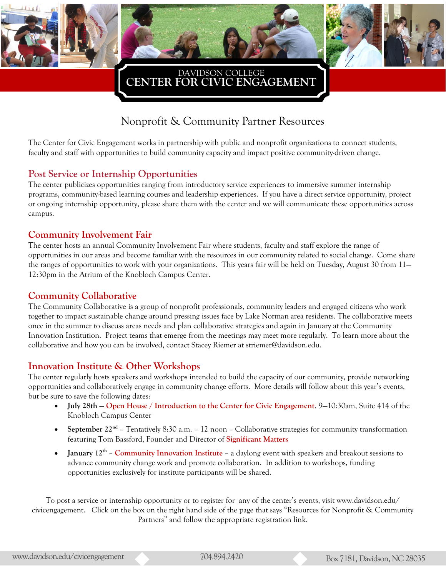



**CENTER FOR CIVIC ENGAGEMENT**  DAVIDSON COLLEGE

# Nonprofit & Community Partner Resources

The Center for Civic Engagement works in partnership with public and nonprofit organizations to connect students, faculty and staff with opportunities to build community capacity and impact positive community-driven change.

# **Post Service or Internship Opportunities**

The center publicizes opportunities ranging from introductory service experiences to immersive summer internship programs, community-based learning courses and leadership experiences. If you have a direct service opportunity, project or ongoing internship opportunity, please share them with the center and we will communicate these opportunities across campus.

#### **Community Involvement Fair**

The center hosts an annual Community Involvement Fair where students, faculty and staff explore the range of opportunities in our areas and become familiar with the resources in our community related to social change. Come share the ranges of opportunities to work with your organizations. This years fair will be held on Tuesday, August 30 from 11— 12:30pm in the Atrium of the Knobloch Campus Center.

#### **Community Collaborative**

The Community Collaborative is a group of nonprofit professionals, community leaders and engaged citizens who work together to impact sustainable change around pressing issues face by Lake Norman area residents. The collaborative meets once in the summer to discuss areas needs and plan collaborative strategies and again in January at the Community Innovation Institution. Project teams that emerge from the meetings may meet more regularly. To learn more about the collaborative and how you can be involved, contact Stacey Riemer at striemer@davidson.edu.

#### **Innovation Institute & Other Workshops**

The center regularly hosts speakers and workshops intended to build the capacity of our community, provide networking opportunities and collaboratively engage in community change efforts. More details will follow about this year's events, but be sure to save the following dates:

- **July 28th Open House / Introduction to the Center for Civic Engagement**, 9—10:30am, Suite 414 of the Knobloch Campus Center
- September 22<sup>nd</sup> Tentatively 8:30 a.m. 12 noon Collaborative strategies for community transformation featuring Tom Bassford, Founder and Director of **[Significant Matters](http://significantmatters.com/)**
- January 12<sup>th</sup> Community Innovation Institute a daylong event with speakers and breakout sessions to advance community change work and promote collaboration. In addition to workshops, funding opportunities exclusively for institute participants will be shared.

To post a service or internship opportunity or to register for any of the center's events, visit www.davidson.edu/ civicengagement. Click on the box on the right hand side of the page that says "Resources for Nonprofit & Community Partners" and follow the appropriate registration link.